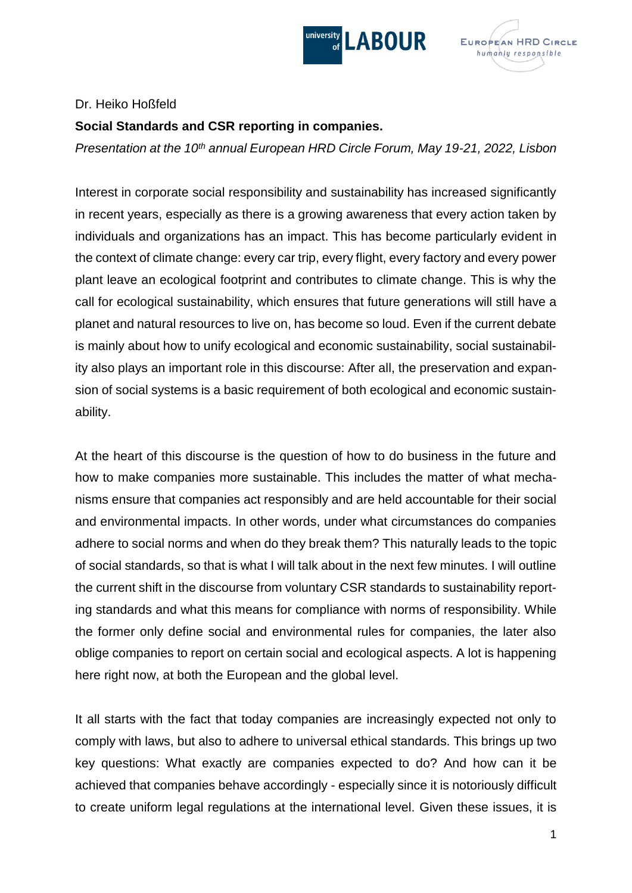



## Dr. Heiko Hoßfeld

## **Social Standards and CSR reporting in companies.**

*Presentation at the 10th annual European HRD Circle Forum, May 19-21, 2022, Lisbon*

Interest in corporate social responsibility and sustainability has increased significantly in recent years, especially as there is a growing awareness that every action taken by individuals and organizations has an impact. This has become particularly evident in the context of climate change: every car trip, every flight, every factory and every power plant leave an ecological footprint and contributes to climate change. This is why the call for ecological sustainability, which ensures that future generations will still have a planet and natural resources to live on, has become so loud. Even if the current debate is mainly about how to unify ecological and economic sustainability, social sustainability also plays an important role in this discourse: After all, the preservation and expansion of social systems is a basic requirement of both ecological and economic sustainability.

At the heart of this discourse is the question of how to do business in the future and how to make companies more sustainable. This includes the matter of what mechanisms ensure that companies act responsibly and are held accountable for their social and environmental impacts. In other words, under what circumstances do companies adhere to social norms and when do they break them? This naturally leads to the topic of social standards, so that is what I will talk about in the next few minutes. I will outline the current shift in the discourse from voluntary CSR standards to sustainability reporting standards and what this means for compliance with norms of responsibility. While the former only define social and environmental rules for companies, the later also oblige companies to report on certain social and ecological aspects. A lot is happening here right now, at both the European and the global level.

It all starts with the fact that today companies are increasingly expected not only to comply with laws, but also to adhere to universal ethical standards. This brings up two key questions: What exactly are companies expected to do? And how can it be achieved that companies behave accordingly - especially since it is notoriously difficult to create uniform legal regulations at the international level. Given these issues, it is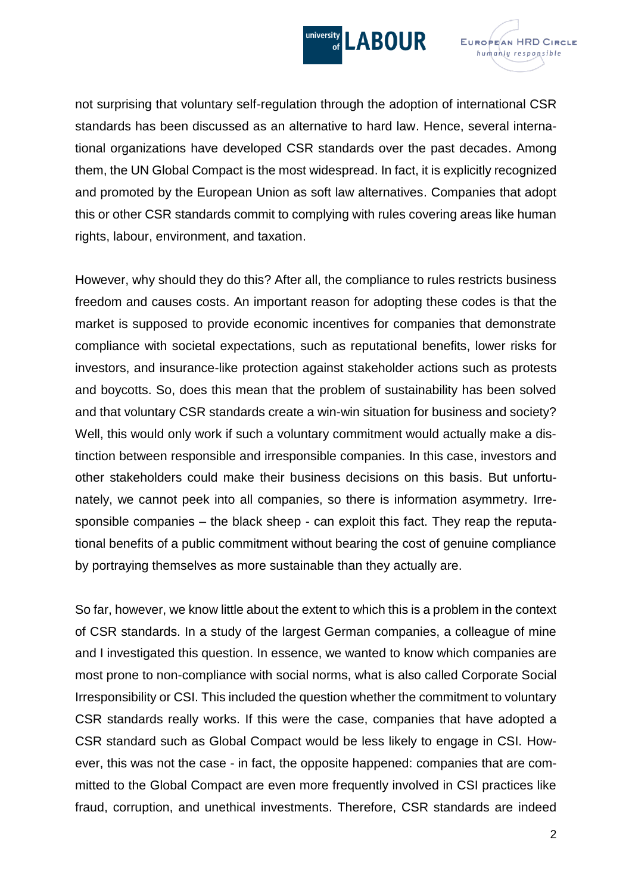



not surprising that voluntary self-regulation through the adoption of international CSR standards has been discussed as an alternative to hard law. Hence, several international organizations have developed CSR standards over the past decades. Among them, the UN Global Compact is the most widespread. In fact, it is explicitly recognized and promoted by the European Union as soft law alternatives. Companies that adopt this or other CSR standards commit to complying with rules covering areas like human rights, labour, environment, and taxation.

However, why should they do this? After all, the compliance to rules restricts business freedom and causes costs. An important reason for adopting these codes is that the market is supposed to provide economic incentives for companies that demonstrate compliance with societal expectations, such as reputational benefits, lower risks for investors, and insurance-like protection against stakeholder actions such as protests and boycotts. So, does this mean that the problem of sustainability has been solved and that voluntary CSR standards create a win-win situation for business and society? Well, this would only work if such a voluntary commitment would actually make a distinction between responsible and irresponsible companies. In this case, investors and other stakeholders could make their business decisions on this basis. But unfortunately, we cannot peek into all companies, so there is information asymmetry. Irresponsible companies – the black sheep - can exploit this fact. They reap the reputational benefits of a public commitment without bearing the cost of genuine compliance by portraying themselves as more sustainable than they actually are.

So far, however, we know little about the extent to which this is a problem in the context of CSR standards. In a study of the largest German companies, a colleague of mine and I investigated this question. In essence, we wanted to know which companies are most prone to non-compliance with social norms, what is also called Corporate Social Irresponsibility or CSI. This included the question whether the commitment to voluntary CSR standards really works. If this were the case, companies that have adopted a CSR standard such as Global Compact would be less likely to engage in CSI. However, this was not the case - in fact, the opposite happened: companies that are committed to the Global Compact are even more frequently involved in CSI practices like fraud, corruption, and unethical investments. Therefore, CSR standards are indeed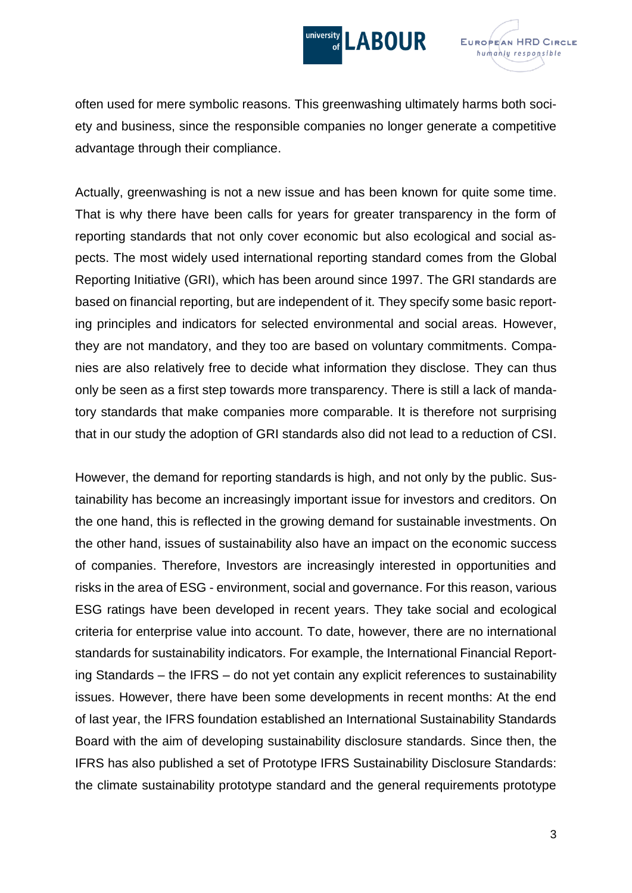



often used for mere symbolic reasons. This greenwashing ultimately harms both society and business, since the responsible companies no longer generate a competitive advantage through their compliance.

Actually, greenwashing is not a new issue and has been known for quite some time. That is why there have been calls for years for greater transparency in the form of reporting standards that not only cover economic but also ecological and social aspects. The most widely used international reporting standard comes from the Global Reporting Initiative (GRI), which has been around since 1997. The GRI standards are based on financial reporting, but are independent of it. They specify some basic reporting principles and indicators for selected environmental and social areas. However, they are not mandatory, and they too are based on voluntary commitments. Companies are also relatively free to decide what information they disclose. They can thus only be seen as a first step towards more transparency. There is still a lack of mandatory standards that make companies more comparable. It is therefore not surprising that in our study the adoption of GRI standards also did not lead to a reduction of CSI.

However, the demand for reporting standards is high, and not only by the public. Sustainability has become an increasingly important issue for investors and creditors. On the one hand, this is reflected in the growing demand for sustainable investments. On the other hand, issues of sustainability also have an impact on the economic success of companies. Therefore, Investors are increasingly interested in opportunities and risks in the area of ESG - environment, social and governance. For this reason, various ESG ratings have been developed in recent years. They take social and ecological criteria for enterprise value into account. To date, however, there are no international standards for sustainability indicators. For example, the International Financial Reporting Standards – the IFRS – do not yet contain any explicit references to sustainability issues. However, there have been some developments in recent months: At the end of last year, the IFRS foundation established an International Sustainability Standards Board with the aim of developing sustainability disclosure standards. Since then, the IFRS has also published a set of Prototype IFRS Sustainability Disclosure Standards: the climate sustainability prototype standard and the general requirements prototype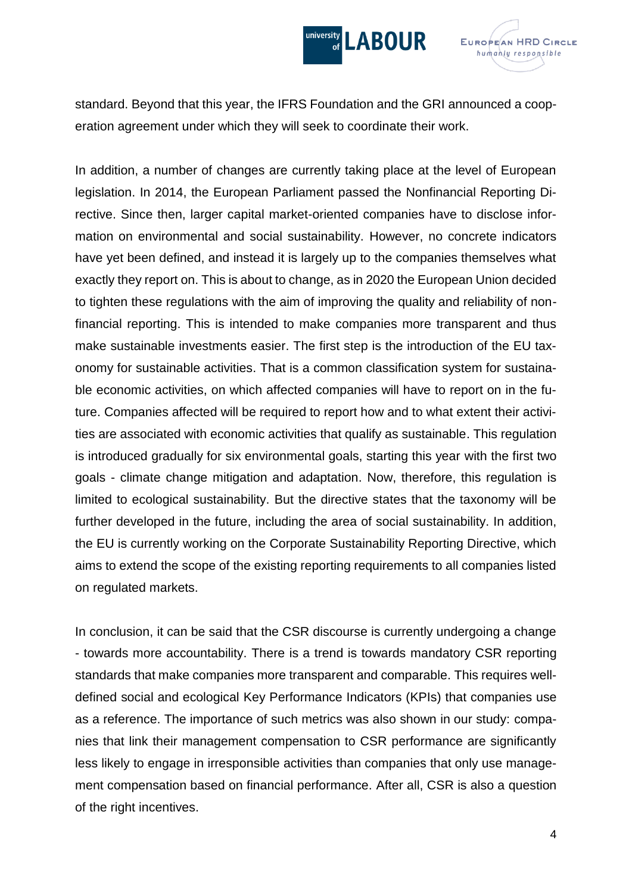



standard. Beyond that this year, the IFRS Foundation and the GRI announced a cooperation agreement under which they will seek to coordinate their work.

In addition, a number of changes are currently taking place at the level of European legislation. In 2014, the European Parliament passed the Nonfinancial Reporting Directive. Since then, larger capital market-oriented companies have to disclose information on environmental and social sustainability. However, no concrete indicators have yet been defined, and instead it is largely up to the companies themselves what exactly they report on. This is about to change, as in 2020 the European Union decided to tighten these regulations with the aim of improving the quality and reliability of nonfinancial reporting. This is intended to make companies more transparent and thus make sustainable investments easier. The first step is the introduction of the EU taxonomy for sustainable activities. That is a common classification system for sustainable economic activities, on which affected companies will have to report on in the future. Companies affected will be required to report how and to what extent their activities are associated with economic activities that qualify as sustainable. This regulation is introduced gradually for six environmental goals, starting this year with the first two goals - climate change mitigation and adaptation. Now, therefore, this regulation is limited to ecological sustainability. But the directive states that the taxonomy will be further developed in the future, including the area of social sustainability. In addition, the EU is currently working on the Corporate Sustainability Reporting Directive, which aims to extend the scope of the existing reporting requirements to all companies listed on regulated markets.

In conclusion, it can be said that the CSR discourse is currently undergoing a change - towards more accountability. There is a trend is towards mandatory CSR reporting standards that make companies more transparent and comparable. This requires welldefined social and ecological Key Performance Indicators (KPIs) that companies use as a reference. The importance of such metrics was also shown in our study: companies that link their management compensation to CSR performance are significantly less likely to engage in irresponsible activities than companies that only use management compensation based on financial performance. After all, CSR is also a question of the right incentives.